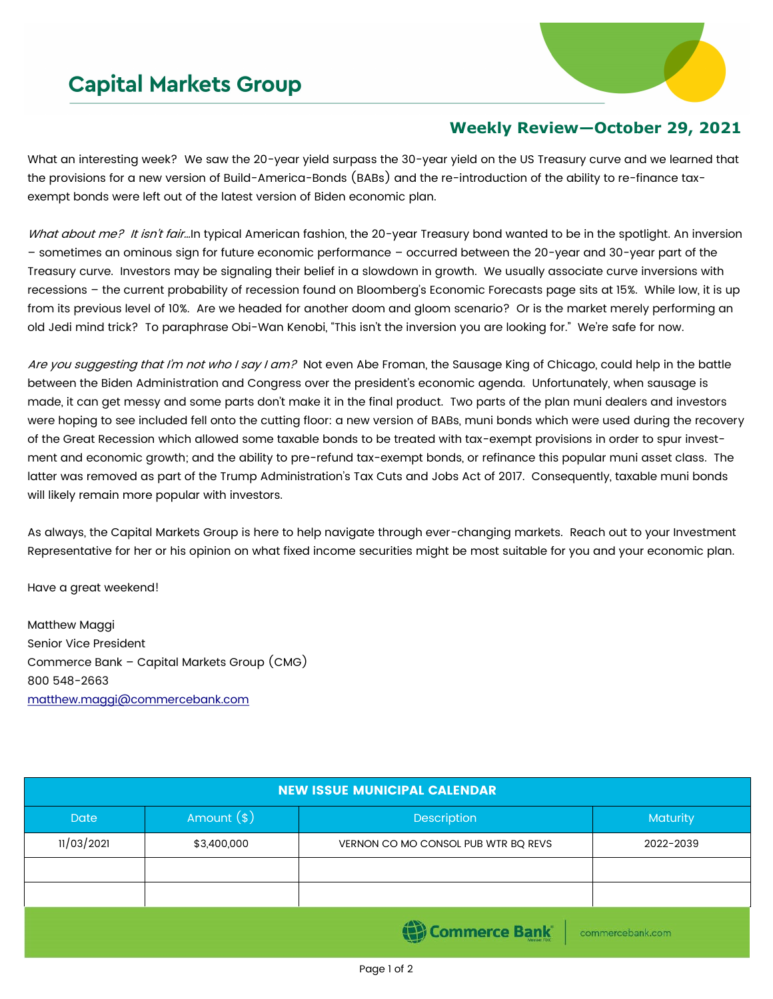## **Capital Markets Group**



## **Weekly Review—October 29, 2021**

What an interesting week? We saw the 20-year yield surpass the 30-year yield on the US Treasury curve and we learned that the provisions for a new version of Build-America-Bonds (BABs) and the re-introduction of the ability to re-finance taxexempt bonds were left out of the latest version of Biden economic plan.

What about me? It isn't fair...In typical American fashion, the 20-year Treasury bond wanted to be in the spotlight. An inversion – sometimes an ominous sign for future economic performance – occurred between the 20-year and 30-year part of the Treasury curve. Investors may be signaling their belief in a slowdown in growth. We usually associate curve inversions with recessions – the current probability of recession found on Bloomberg's Economic Forecasts page sits at 15%. While low, it is up from its previous level of 10%. Are we headed for another doom and gloom scenario? Or is the market merely performing an old Jedi mind trick? To paraphrase Obi-Wan Kenobi, "This isn't the inversion you are looking for." We're safe for now.

Are you suggesting that I'm not who I say I am? Not even Abe Froman, the Sausage King of Chicago, could help in the battle between the Biden Administration and Congress over the president's economic agenda. Unfortunately, when sausage is made, it can get messy and some parts don't make it in the final product. Two parts of the plan muni dealers and investors were hoping to see included fell onto the cutting floor: a new version of BABs, muni bonds which were used during the recovery of the Great Recession which allowed some taxable bonds to be treated with tax-exempt provisions in order to spur investment and economic growth; and the ability to pre-refund tax-exempt bonds, or refinance this popular muni asset class. The latter was removed as part of the Trump Administration's Tax Cuts and Jobs Act of 2017. Consequently, taxable muni bonds will likely remain more popular with investors.

As always, the Capital Markets Group is here to help navigate through ever-changing markets. Reach out to your Investment Representative for her or his opinion on what fixed income securities might be most suitable for you and your economic plan.

Have a great weekend!

Matthew Maggi Senior Vice President Commerce Bank – Capital Markets Group (CMG) 800 548-2663 [matthew.maggi@commercebank.com](mailto:matthew.maggi@commercebank.com)

| <b>NEW ISSUE MUNICIPAL CALENDAR</b> |              |                                     |           |  |  |
|-------------------------------------|--------------|-------------------------------------|-----------|--|--|
| Date                                | Amount $(*)$ | Description                         | Maturity  |  |  |
| 11/03/2021                          | \$3,400,000  | VERNON CO MO CONSOL PUB WTR BO REVS | 2022-2039 |  |  |
|                                     |              |                                     |           |  |  |
|                                     |              |                                     |           |  |  |
| Commerce Bank<br>commercebank.com   |              |                                     |           |  |  |